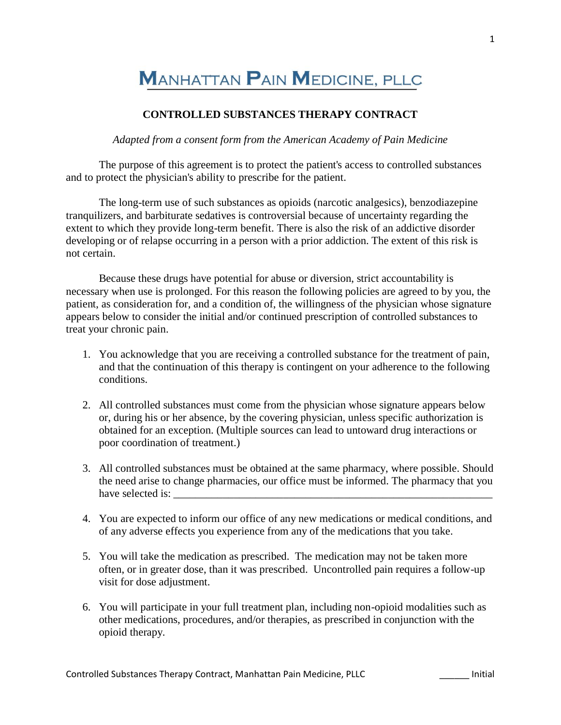## **MANHATTAN PAIN MEDICINE, PLLC**

## **CONTROLLED SUBSTANCES THERAPY CONTRACT**

*Adapted from a consent form from the American Academy of Pain Medicine*

The purpose of this agreement is to protect the patient's access to controlled substances and to protect the physician's ability to prescribe for the patient.

The long-term use of such substances as opioids (narcotic analgesics), benzodiazepine tranquilizers, and barbiturate sedatives is controversial because of uncertainty regarding the extent to which they provide long-term benefit. There is also the risk of an addictive disorder developing or of relapse occurring in a person with a prior addiction. The extent of this risk is not certain.

Because these drugs have potential for abuse or diversion, strict accountability is necessary when use is prolonged. For this reason the following policies are agreed to by you, the patient, as consideration for, and a condition of, the willingness of the physician whose signature appears below to consider the initial and/or continued prescription of controlled substances to treat your chronic pain.

- 1. You acknowledge that you are receiving a controlled substance for the treatment of pain, and that the continuation of this therapy is contingent on your adherence to the following conditions.
- 2. All controlled substances must come from the physician whose signature appears below or, during his or her absence, by the covering physician, unless specific authorization is obtained for an exception. (Multiple sources can lead to untoward drug interactions or poor coordination of treatment.)
- 3. All controlled substances must be obtained at the same pharmacy, where possible. Should the need arise to change pharmacies, our office must be informed. The pharmacy that you have selected is:
- 4. You are expected to inform our office of any new medications or medical conditions, and of any adverse effects you experience from any of the medications that you take.
- 5. You will take the medication as prescribed. The medication may not be taken more often, or in greater dose, than it was prescribed. Uncontrolled pain requires a follow-up visit for dose adjustment.
- 6. You will participate in your full treatment plan, including non-opioid modalities such as other medications, procedures, and/or therapies, as prescribed in conjunction with the opioid therapy.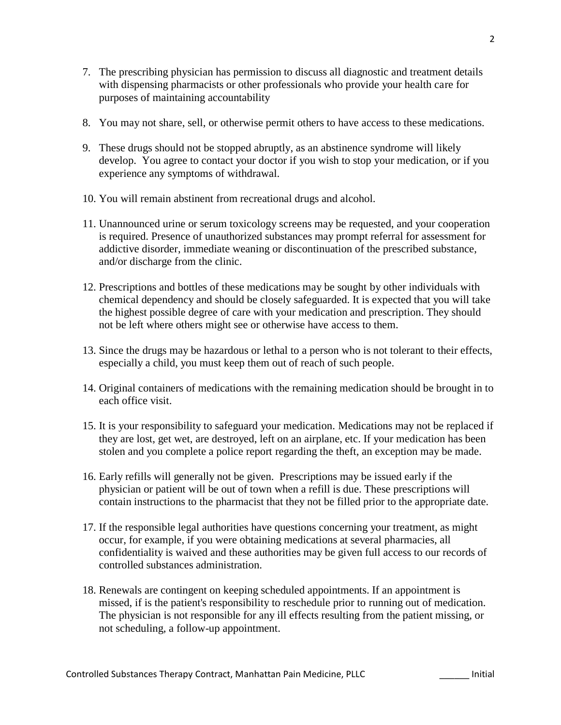- 7. The prescribing physician has permission to discuss all diagnostic and treatment details with dispensing pharmacists or other professionals who provide your health care for purposes of maintaining accountability
- 8. You may not share, sell, or otherwise permit others to have access to these medications.
- 9. These drugs should not be stopped abruptly, as an abstinence syndrome will likely develop. You agree to contact your doctor if you wish to stop your medication, or if you experience any symptoms of withdrawal.
- 10. You will remain abstinent from recreational drugs and alcohol.
- 11. Unannounced urine or serum toxicology screens may be requested, and your cooperation is required. Presence of unauthorized substances may prompt referral for assessment for addictive disorder, immediate weaning or discontinuation of the prescribed substance, and/or discharge from the clinic.
- 12. Prescriptions and bottles of these medications may be sought by other individuals with chemical dependency and should be closely safeguarded. It is expected that you will take the highest possible degree of care with your medication and prescription. They should not be left where others might see or otherwise have access to them.
- 13. Since the drugs may be hazardous or lethal to a person who is not tolerant to their effects, especially a child, you must keep them out of reach of such people.
- 14. Original containers of medications with the remaining medication should be brought in to each office visit.
- 15. It is your responsibility to safeguard your medication. Medications may not be replaced if they are lost, get wet, are destroyed, left on an airplane, etc. If your medication has been stolen and you complete a police report regarding the theft, an exception may be made.
- 16. Early refills will generally not be given. Prescriptions may be issued early if the physician or patient will be out of town when a refill is due. These prescriptions will contain instructions to the pharmacist that they not be filled prior to the appropriate date.
- 17. If the responsible legal authorities have questions concerning your treatment, as might occur, for example, if you were obtaining medications at several pharmacies, all confidentiality is waived and these authorities may be given full access to our records of controlled substances administration.
- 18. Renewals are contingent on keeping scheduled appointments. If an appointment is missed, if is the patient's responsibility to reschedule prior to running out of medication. The physician is not responsible for any ill effects resulting from the patient missing, or not scheduling, a follow-up appointment.